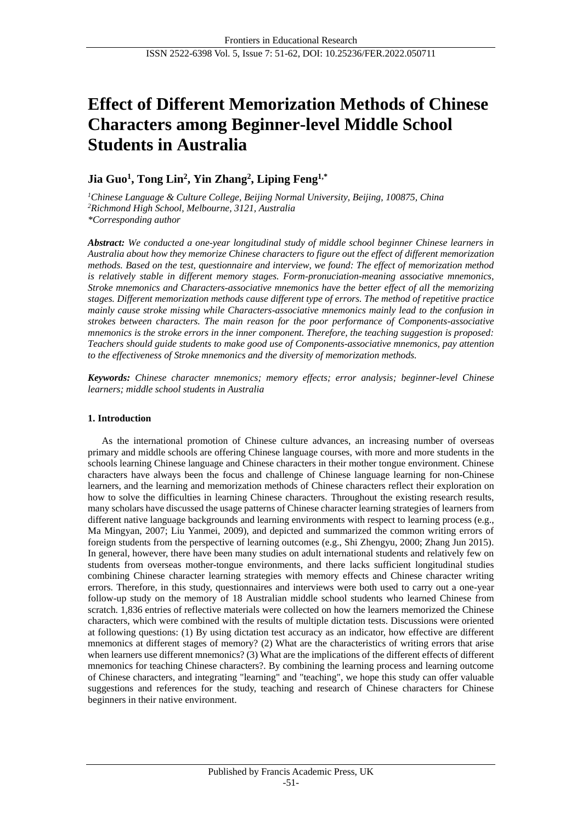# **Effect of Different Memorization Methods of Chinese Characters among Beginner-level Middle School Students in Australia**

# **Jia Guo<sup>1</sup> , Tong Lin<sup>2</sup> , Yin Zhang<sup>2</sup> , Liping Feng1,\***

*<sup>1</sup>Chinese Language & Culture College, Beijing Normal University, Beijing, 100875, China <sup>2</sup>Richmond High School, Melbourne, 3121, Australia \*Corresponding author*

*Abstract: We conducted a one-year longitudinal study of middle school beginner Chinese learners in Australia about how they memorize Chinese characters to figure out the effect of different memorization methods. Based on the test, questionnaire and interview, we found: The effect of memorization method is relatively stable in different memory stages. Form-pronuciation-meaning associative mnemonics, Stroke mnemonics and Characters-associative mnemonics have the better effect of all the memorizing stages. Different memorization methods cause different type of errors. The method of repetitive practice mainly cause stroke missing while Characters-associative mnemonics mainly lead to the confusion in strokes between characters. The main reason for the poor performance of Components-associative mnemonics is the stroke errors in the inner component. Therefore, the teaching suggestion is proposed: Teachers should guide students to make good use of Components-associative mnemonics, pay attention to the effectiveness of Stroke mnemonics and the diversity of memorization methods.*

*Keywords: Chinese character mnemonics; memory effects; error analysis; beginner-level Chinese learners; middle school students in Australia*

# **1. Introduction**

As the international promotion of Chinese culture advances, an increasing number of overseas primary and middle schools are offering Chinese language courses, with more and more students in the schools learning Chinese language and Chinese characters in their mother tongue environment. Chinese characters have always been the focus and challenge of Chinese language learning for non-Chinese learners, and the learning and memorization methods of Chinese characters reflect their exploration on how to solve the difficulties in learning Chinese characters. Throughout the existing research results, many scholars have discussed the usage patterns of Chinese character learning strategies of learners from different native language backgrounds and learning environments with respect to learning process (e.g., Ma Mingyan, 2007; Liu Yanmei, 2009), and depicted and summarized the common writing errors of foreign students from the perspective of learning outcomes (e.g., Shi Zhengyu, 2000; Zhang Jun 2015). In general, however, there have been many studies on adult international students and relatively few on students from overseas mother-tongue environments, and there lacks sufficient longitudinal studies combining Chinese character learning strategies with memory effects and Chinese character writing errors. Therefore, in this study, questionnaires and interviews were both used to carry out a one-year follow-up study on the memory of 18 Australian middle school students who learned Chinese from scratch. 1,836 entries of reflective materials were collected on how the learners memorized the Chinese characters, which were combined with the results of multiple dictation tests. Discussions were oriented at following questions: (1) By using dictation test accuracy as an indicator, how effective are different mnemonics at different stages of memory? (2) What are the characteristics of writing errors that arise when learners use different mnemonics? (3) What are the implications of the different effects of different mnemonics for teaching Chinese characters?. By combining the learning process and learning outcome of Chinese characters, and integrating "learning" and "teaching", we hope this study can offer valuable suggestions and references for the study, teaching and research of Chinese characters for Chinese beginners in their native environment.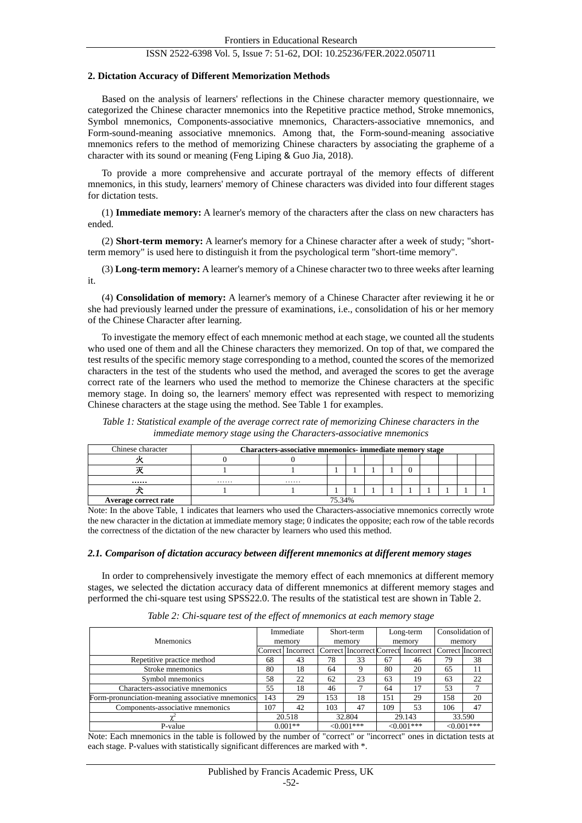#### **2. Dictation Accuracy of Different Memorization Methods**

Based on the analysis of learners' reflections in the Chinese character memory questionnaire, we categorized the Chinese character mnemonics into the Repetitive practice method, Stroke mnemonics, Symbol mnemonics, Components-associative mnemonics, Characters-associative mnemonics, and Form-sound-meaning associative mnemonics. Among that, the Form-sound-meaning associative mnemonics refers to the method of memorizing Chinese characters by associating the grapheme of a character with its sound or meaning (Feng Liping & Guo Jia, 2018).

To provide a more comprehensive and accurate portrayal of the memory effects of different mnemonics, in this study, learners' memory of Chinese characters was divided into four different stages for dictation tests.

(1) **Immediate memory:** A learner's memory of the characters after the class on new characters has ended.

(2) **Short-term memory:** A learner's memory for a Chinese character after a week of study; "shortterm memory" is used here to distinguish it from the psychological term "short-time memory".

(3) **Long-term memory:** A learner's memory of a Chinese character two to three weeks after learning it.

(4) **Consolidation of memory:** A learner's memory of a Chinese Character after reviewing it he or she had previously learned under the pressure of examinations, i.e., consolidation of his or her memory of the Chinese Character after learning.

To investigate the memory effect of each mnemonic method at each stage, we counted all the students who used one of them and all the Chinese characters they memorized. On top of that, we compared the test results of the specific memory stage corresponding to a method, counted the scores of the memorized characters in the test of the students who used the method, and averaged the scores to get the average correct rate of the learners who used the method to memorize the Chinese characters at the specific memory stage. In doing so, the learners' memory effect was represented with respect to memorizing Chinese characters at the stage using the method. See Table 1 for examples.

*Table 1: Statistical example of the average correct rate of memorizing Chinese characters in the immediate memory stage using the Characters-associative mnemonics*

| Chinese character    | <b>Characters-associative mnemonics-immediate memory stage</b> |   |  |  |  |  |  |  |  |  |
|----------------------|----------------------------------------------------------------|---|--|--|--|--|--|--|--|--|
|                      |                                                                |   |  |  |  |  |  |  |  |  |
|                      |                                                                |   |  |  |  |  |  |  |  |  |
|                      | .                                                              | . |  |  |  |  |  |  |  |  |
|                      |                                                                |   |  |  |  |  |  |  |  |  |
| Average correct rate | 75.34%                                                         |   |  |  |  |  |  |  |  |  |

Note: In the above Table, 1 indicates that learners who used the Characters-associative mnemonics correctly wrote the new character in the dictation at immediate memory stage; 0 indicates the opposite; each row of the table records the correctness of the dictation of the new character by learners who used this method.

#### *2.1. Comparison of dictation accuracy between different mnemonics at different memory stages*

In order to comprehensively investigate the memory effect of each mnemonics at different memory stages, we selected the dictation accuracy data of different mnemonics at different memory stages and performed the chi-square test using SPSS22.0. The results of the statistical test are shown in Table 2.

|                                                  | Immediate<br>memory |           | Short-term<br>memory |        |             | Long-term                           | Consolidation of |                   |  |
|--------------------------------------------------|---------------------|-----------|----------------------|--------|-------------|-------------------------------------|------------------|-------------------|--|
| <b>M</b> nemonics                                |                     |           |                      |        | memory      |                                     | memory           |                   |  |
|                                                  | Correct             | Incorrect |                      |        |             | Correct Incorrect Correct Incorrect |                  | Correct Incorrect |  |
| Repetitive practice method                       | 68                  | 43        | 78                   | 33     | 67          | 46                                  | 79               | 38                |  |
| Stroke mnemonics                                 | 80                  | 18        | 64                   | 9      | 80          | 20                                  | 65               | 11                |  |
| Symbol mnemonics                                 | 58                  | 22        | 62                   | 23     | 63          | 19                                  | 63               | 22                |  |
| Characters-associative mnemonics                 | 55                  | 18        | 46                   |        | 64          | 17                                  | 53               |                   |  |
| Form-pronunciation-meaning associative mnemonics | 143                 | 29        | 153                  | 18     | l 51        | 29                                  | 158              | 20                |  |
| Components-associative mnemonics                 | 107                 | 42        | 103                  | 47     | 109         | 53                                  | 106              | 47                |  |
|                                                  |                     | 20.518    |                      | 32.804 |             | 29.143                              |                  | 33.590            |  |
| P-value                                          | $0.001**$           |           | $<0.001***$          |        | $<0.001***$ |                                     | $<0.001***$      |                   |  |

*Table 2: Chi-square test of the effect of mnemonics at each memory stage*

Note: Each mnemonics in the table is followed by the number of "correct" or "incorrect" ones in dictation tests at each stage. P-values with statistically significant differences are marked with \*.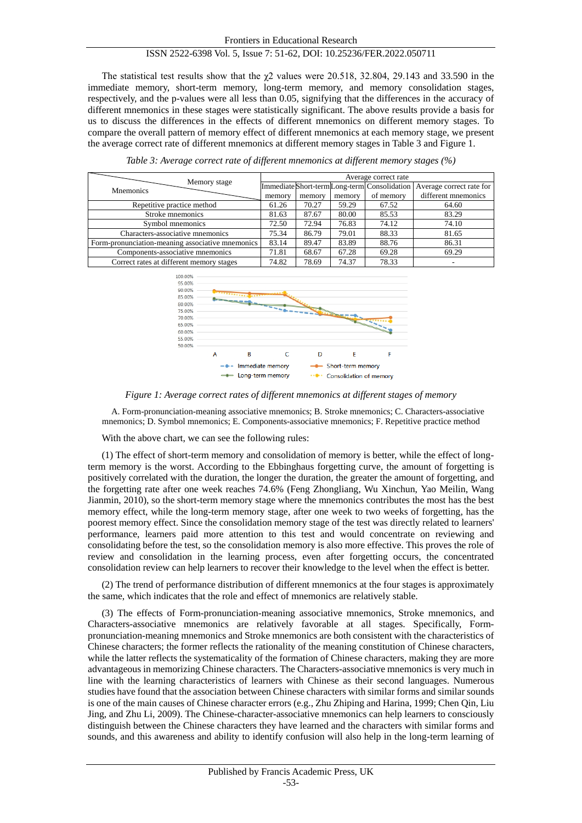The statistical test results show that the  $\chi$ 2 values were 20.518, 32.804, 29.143 and 33.590 in the immediate memory, short-term memory, long-term memory, and memory consolidation stages, respectively, and the p-values were all less than 0.05, signifying that the differences in the accuracy of different mnemonics in these stages were statistically significant. The above results provide a basis for us to discuss the differences in the effects of different mnemonics on different memory stages. To compare the overall pattern of memory effect of different mnemonics at each memory stage, we present the average correct rate of different mnemonics at different memory stages in Table 3 and Figure 1.

| Memory stage                                     | Average correct rate |        |        |           |                                                                         |  |  |  |  |
|--------------------------------------------------|----------------------|--------|--------|-----------|-------------------------------------------------------------------------|--|--|--|--|
| <b>M</b> nemonics                                |                      |        |        |           | Immediate Short-term Long-term Consolidation   Average correct rate for |  |  |  |  |
|                                                  | memory               | memory | memory | of memory | different mnemonics                                                     |  |  |  |  |
| Repetitive practice method                       | 61.26                | 70.27  | 59.29  | 67.52     | 64.60                                                                   |  |  |  |  |
| Stroke mnemonics                                 | 81.63                | 87.67  | 80.00  | 85.53     | 83.29                                                                   |  |  |  |  |
| Symbol mnemonics                                 | 72.50                | 72.94  | 76.83  | 74.12     | 74.10                                                                   |  |  |  |  |
| Characters-associative mnemonics                 | 75.34                | 86.79  | 79.01  | 88.33     | 81.65                                                                   |  |  |  |  |
| Form-pronunciation-meaning associative mnemonics | 83.14                | 89.47  | 83.89  | 88.76     | 86.31                                                                   |  |  |  |  |
| Components-associative mnemonics                 | 71.81                | 68.67  | 67.28  | 69.28     | 69.29                                                                   |  |  |  |  |
| Correct rates at different memory stages         | 74.82                | 78.69  | 74.37  | 78.33     | ۰                                                                       |  |  |  |  |

*Table 3: Average correct rate of different mnemonics at different memory stages (%)*



*Figure 1: Average correct rates of different mnemonics at different stages of memory*

A. Form-pronunciation-meaning associative mnemonics; B. Stroke mnemonics; C. Characters-associative mnemonics; D. Symbol mnemonics; E. Components-associative mnemonics; F. Repetitive practice method

With the above chart, we can see the following rules:

(1) The effect of short-term memory and consolidation of memory is better, while the effect of longterm memory is the worst. According to the Ebbinghaus forgetting curve, the amount of forgetting is positively correlated with the duration, the longer the duration, the greater the amount of forgetting, and the forgetting rate after one week reaches 74.6% (Feng Zhongliang, Wu Xinchun, Yao Meilin, Wang Jianmin, 2010), so the short-term memory stage where the mnemonics contributes the most has the best memory effect, while the long-term memory stage, after one week to two weeks of forgetting, has the poorest memory effect. Since the consolidation memory stage of the test was directly related to learners' performance, learners paid more attention to this test and would concentrate on reviewing and consolidating before the test, so the consolidation memory is also more effective. This proves the role of review and consolidation in the learning process, even after forgetting occurs, the concentrated consolidation review can help learners to recover their knowledge to the level when the effect is better.

(2) The trend of performance distribution of different mnemonics at the four stages is approximately the same, which indicates that the role and effect of mnemonics are relatively stable.

(3) The effects of Form-pronunciation-meaning associative mnemonics, Stroke mnemonics, and Characters-associative mnemonics are relatively favorable at all stages. Specifically, Formpronunciation-meaning mnemonics and Stroke mnemonics are both consistent with the characteristics of Chinese characters; the former reflects the rationality of the meaning constitution of Chinese characters, while the latter reflects the systematicality of the formation of Chinese characters, making they are more advantageous in memorizing Chinese characters. The Characters-associative mnemonics is very much in line with the learning characteristics of learners with Chinese as their second languages. Numerous studies have found that the association between Chinese characters with similar forms and similar sounds is one of the main causes of Chinese character errors (e.g., Zhu Zhiping and Harina, 1999; Chen Qin, Liu Jing, and Zhu Li, 2009). The Chinese-character-associative mnemonics can help learners to consciously distinguish between the Chinese characters they have learned and the characters with similar forms and sounds, and this awareness and ability to identify confusion will also help in the long-term learning of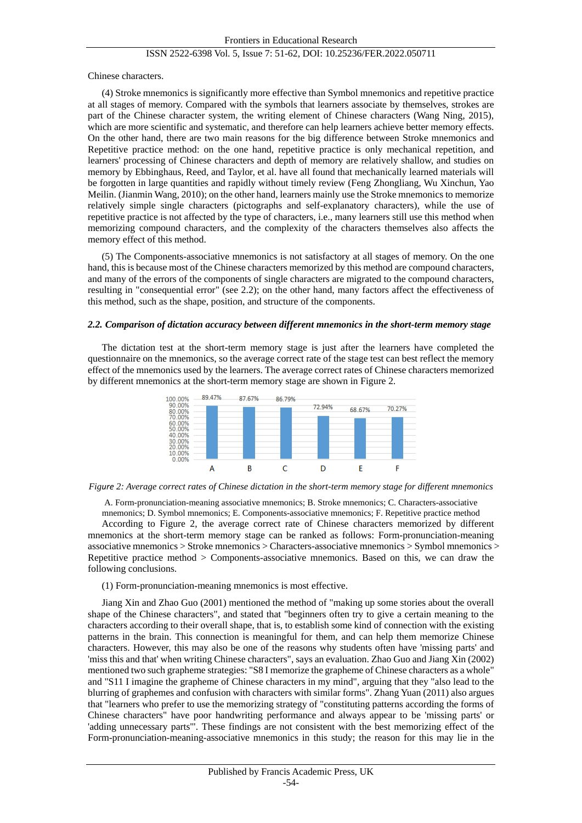Chinese characters.

(4) Stroke mnemonics is significantly more effective than Symbol mnemonics and repetitive practice at all stages of memory. Compared with the symbols that learners associate by themselves, strokes are part of the Chinese character system, the writing element of Chinese characters (Wang Ning, 2015), which are more scientific and systematic, and therefore can help learners achieve better memory effects. On the other hand, there are two main reasons for the big difference between Stroke mnemonics and Repetitive practice method: on the one hand, repetitive practice is only mechanical repetition, and learners' processing of Chinese characters and depth of memory are relatively shallow, and studies on memory by Ebbinghaus, Reed, and Taylor, et al. have all found that mechanically learned materials will be forgotten in large quantities and rapidly without timely review (Feng Zhongliang, Wu Xinchun, Yao Meilin. (Jianmin Wang, 2010); on the other hand, learners mainly use the Stroke mnemonics to memorize relatively simple single characters (pictographs and self-explanatory characters), while the use of repetitive practice is not affected by the type of characters, i.e., many learners still use this method when memorizing compound characters, and the complexity of the characters themselves also affects the memory effect of this method.

(5) The Components-associative mnemonics is not satisfactory at all stages of memory. On the one hand, this is because most of the Chinese characters memorized by this method are compound characters, and many of the errors of the components of single characters are migrated to the compound characters, resulting in "consequential error" (see 2.2); on the other hand, many factors affect the effectiveness of this method, such as the shape, position, and structure of the components.

#### *2.2. Comparison of dictation accuracy between different mnemonics in the short-term memory stage*

The dictation test at the short-term memory stage is just after the learners have completed the questionnaire on the mnemonics, so the average correct rate of the stage test can best reflect the memory effect of the mnemonics used by the learners. The average correct rates of Chinese characters memorized by different mnemonics at the short-term memory stage are shown in Figure 2.



*Figure 2: Average correct rates of Chinese dictation in the short-term memory stage for different mnemonics*

A. Form-pronunciation-meaning associative mnemonics; B. Stroke mnemonics; C. Characters-associative mnemonics; D. Symbol mnemonics; E. Components-associative mnemonics; F. Repetitive practice method

According to Figure 2, the average correct rate of Chinese characters memorized by different mnemonics at the short-term memory stage can be ranked as follows: Form-pronunciation-meaning associative mnemonics > Stroke mnemonics > Characters-associative mnemonics > Symbol mnemonics > Repetitive practice method > Components-associative mnemonics. Based on this, we can draw the following conclusions.

#### (1) Form-pronunciation-meaning mnemonics is most effective.

Jiang Xin and Zhao Guo (2001) mentioned the method of "making up some stories about the overall shape of the Chinese characters", and stated that "beginners often try to give a certain meaning to the characters according to their overall shape, that is, to establish some kind of connection with the existing patterns in the brain. This connection is meaningful for them, and can help them memorize Chinese characters. However, this may also be one of the reasons why students often have 'missing parts' and 'miss this and that' when writing Chinese characters", says an evaluation. Zhao Guo and Jiang Xin (2002) mentioned two such grapheme strategies: "S8 I memorize the grapheme of Chinese characters as a whole" and "S11 I imagine the grapheme of Chinese characters in my mind", arguing that they "also lead to the blurring of graphemes and confusion with characters with similar forms". Zhang Yuan (2011) also argues that "learners who prefer to use the memorizing strategy of "constituting patterns according the forms of Chinese characters" have poor handwriting performance and always appear to be 'missing parts' or 'adding unnecessary parts'". These findings are not consistent with the best memorizing effect of the Form-pronunciation-meaning-associative mnemonics in this study; the reason for this may lie in the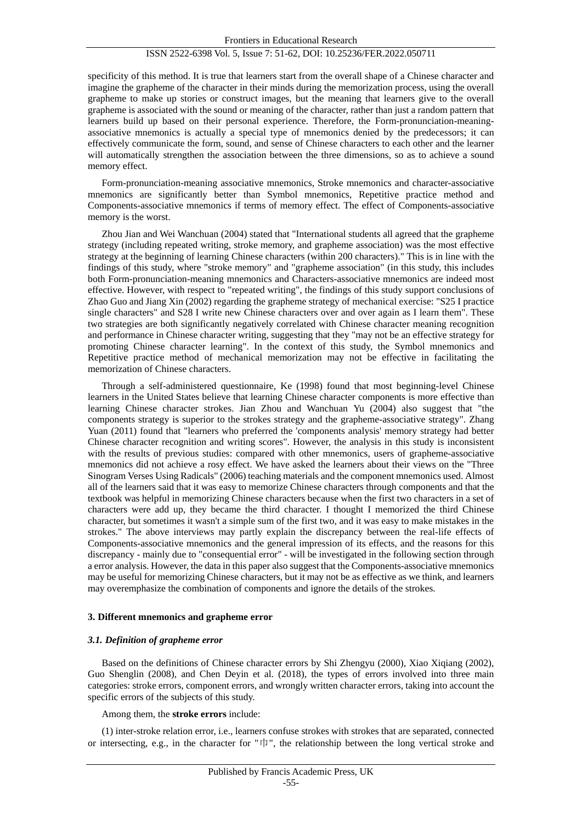specificity of this method. It is true that learners start from the overall shape of a Chinese character and imagine the grapheme of the character in their minds during the memorization process, using the overall grapheme to make up stories or construct images, but the meaning that learners give to the overall grapheme is associated with the sound or meaning of the character, rather than just a random pattern that learners build up based on their personal experience. Therefore, the Form-pronunciation-meaningassociative mnemonics is actually a special type of mnemonics denied by the predecessors; it can effectively communicate the form, sound, and sense of Chinese characters to each other and the learner will automatically strengthen the association between the three dimensions, so as to achieve a sound memory effect.

Form-pronunciation-meaning associative mnemonics, Stroke mnemonics and character-associative mnemonics are significantly better than Symbol mnemonics, Repetitive practice method and Components-associative mnemonics if terms of memory effect. The effect of Components-associative memory is the worst.

Zhou Jian and Wei Wanchuan (2004) stated that "International students all agreed that the grapheme strategy (including repeated writing, stroke memory, and grapheme association) was the most effective strategy at the beginning of learning Chinese characters (within 200 characters)." This is in line with the findings of this study, where "stroke memory" and "grapheme association" (in this study, this includes both Form-pronunciation-meaning mnemonics and Characters-associative mnemonics are indeed most effective. However, with respect to "repeated writing", the findings of this study support conclusions of Zhao Guo and Jiang Xin (2002) regarding the grapheme strategy of mechanical exercise: "S25 I practice single characters" and S28 I write new Chinese characters over and over again as I learn them". These two strategies are both significantly negatively correlated with Chinese character meaning recognition and performance in Chinese character writing, suggesting that they "may not be an effective strategy for promoting Chinese character learning". In the context of this study, the Symbol mnemonics and Repetitive practice method of mechanical memorization may not be effective in facilitating the memorization of Chinese characters.

Through a self-administered questionnaire, Ke (1998) found that most beginning-level Chinese learners in the United States believe that learning Chinese character components is more effective than learning Chinese character strokes. Jian Zhou and Wanchuan Yu (2004) also suggest that "the components strategy is superior to the strokes strategy and the grapheme-associative strategy". Zhang Yuan (2011) found that "learners who preferred the 'components analysis' memory strategy had better Chinese character recognition and writing scores". However, the analysis in this study is inconsistent with the results of previous studies: compared with other mnemonics, users of grapheme-associative mnemonics did not achieve a rosy effect. We have asked the learners about their views on the "Three Sinogram Verses Using Radicals" (2006) teaching materials and the component mnemonics used. Almost all of the learners said that it was easy to memorize Chinese characters through components and that the textbook was helpful in memorizing Chinese characters because when the first two characters in a set of characters were add up, they became the third character. I thought I memorized the third Chinese character, but sometimes it wasn't a simple sum of the first two, and it was easy to make mistakes in the strokes." The above interviews may partly explain the discrepancy between the real-life effects of Components-associative mnemonics and the general impression of its effects, and the reasons for this discrepancy - mainly due to "consequential error" - will be investigated in the following section through a error analysis. However, the data in this paper also suggest that the Components-associative mnemonics may be useful for memorizing Chinese characters, but it may not be as effective as we think, and learners may overemphasize the combination of components and ignore the details of the strokes.

#### **3. Different mnemonics and grapheme error**

#### *3.1. Definition of grapheme error*

Based on the definitions of Chinese character errors by Shi Zhengyu (2000), Xiao Xiqiang (2002), Guo Shenglin (2008), and Chen Deyin et al. (2018), the types of errors involved into three main categories: stroke errors, component errors, and wrongly written character errors, taking into account the specific errors of the subjects of this study.

Among them, the **stroke errors** include:

(1) inter-stroke relation error, i.e., learners confuse strokes with strokes that are separated, connected or intersecting, e.g., in the character for " $\uparrow \parallel$ ", the relationship between the long vertical stroke and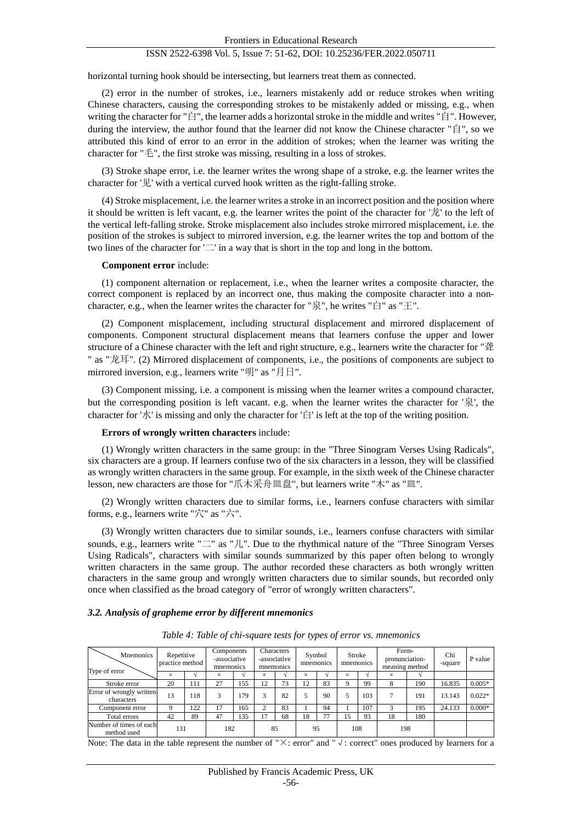horizontal turning hook should be intersecting, but learners treat them as connected.

(2) error in the number of strokes, i.e., learners mistakenly add or reduce strokes when writing Chinese characters, causing the corresponding strokes to be mistakenly added or missing, e.g., when writing the character for "白", the learner adds a horizontal stroke in the middle and writes "自". However, during the interview, the author found that the learner did not know the Chinese character "自", so we attributed this kind of error to an error in the addition of strokes; when the learner was writing the character for "毛", the first stroke was missing, resulting in a loss of strokes.

(3) Stroke shape error, i.e. the learner writes the wrong shape of a stroke, e.g. the learner writes the character for '见' with a vertical curved hook written as the right-falling stroke.

(4) Stroke misplacement, i.e. the learner writes a stroke in an incorrect position and the position where it should be written is left vacant, e.g. the learner writes the point of the character for '龙' to the left of the vertical left-falling stroke. Stroke misplacement also includes stroke mirrored misplacement, i.e. the position of the strokes is subject to mirrored inversion, e.g. the learner writes the top and bottom of the two lines of the character for  $\Box$  in a way that is short in the top and long in the bottom.

#### **Component error** include:

(1) component alternation or replacement, i.e., when the learner writes a composite character, the correct component is replaced by an incorrect one, thus making the composite character into a noncharacter, e.g., when the learner writes the character for "泉", he writes "白" as "王".

(2) Component misplacement, including structural displacement and mirrored displacement of components. Component structural displacement means that learners confuse the upper and lower structure of a Chinese character with the left and right structure, e.g., learners write the character for "聋 " as "龙耳". (2) Mirrored displacement of components, i.e., the positions of components are subject to mirrored inversion, e.g., learners write "明" as "月日".

(3) Component missing, i.e. a component is missing when the learner writes a compound character, but the corresponding position is left vacant. e.g. when the learner writes the character for '泉', the character for ' $\chi'$ ' is missing and only the character for ' $\Xi'$ ' is left at the top of the writing position.

## **Errors of wrongly written characters** include:

(1) Wrongly written characters in the same group: in the "Three Sinogram Verses Using Radicals", six characters are a group. If learners confuse two of the six characters in a lesson, they will be classified as wrongly written characters in the same group. For example, in the sixth week of the Chinese character lesson, new characters are those for "爪木采舟皿盘", but learners write "木" as "皿".

(2) Wrongly written characters due to similar forms, i.e., learners confuse characters with similar forms, e.g., learners write "穴" as "六".

(3) Wrongly written characters due to similar sounds, i.e., learners confuse characters with similar sounds, e.g., learners write "二" as "儿". Due to the rhythmical nature of the "Three Sinogram Verses Using Radicals", characters with similar sounds summarized by this paper often belong to wrongly written characters in the same group. The author recorded these characters as both wrongly written characters in the same group and wrongly written characters due to similar sounds, but recorded only once when classified as the broad category of "error of wrongly written characters".

#### *3.2. Analysis of grapheme error by different mnemonics*

| <b>M</b> nemonics<br>Type of error     | Repetitive<br>practice method |     | Components<br>-associative<br>mnemonics |     | mnemonics | Characters<br>-associative | Symbol<br>mnemonics |    | Stroke<br>mnemonics |     | Form-<br>pronunciation-<br>meaning method |     | Chi<br>-square | P value  |
|----------------------------------------|-------------------------------|-----|-----------------------------------------|-----|-----------|----------------------------|---------------------|----|---------------------|-----|-------------------------------------------|-----|----------------|----------|
|                                        | $\times$                      |     | ×                                       |     | $\times$  |                            | $\times$            |    | ×                   |     | ×                                         |     |                |          |
| Stroke error                           | 20                            | 111 | 27                                      | 155 | 12        | 73                         | 12                  | 83 |                     | 99  | 8                                         | 190 | 16.835         | $0.005*$ |
| Error of wrongly written<br>characters | 13                            | 118 | 3                                       | 179 | 3         | 82                         |                     | 90 |                     | 103 |                                           | 191 | 13.143         | $0.022*$ |
| Component error                        |                               | 122 | 17                                      | 165 | ⌒         | 83                         |                     | 94 |                     | 107 |                                           | 195 | 24.133         | $0.000*$ |
| Total errors                           | 42                            | 89  | 47                                      | 135 | 17        | 68                         | 18                  | 77 | 15                  | 93  | 18                                        | 180 |                |          |
| Number of times of each<br>method used | 131                           |     | 182                                     |     | 85        |                            | 95                  |    | 108                 |     | 198                                       |     |                |          |

*Table 4: Table of chi-square tests for types of error vs. mnemonics*

Note: The data in the table represent the number of "×: error" and "√: correct" ones produced by learners for a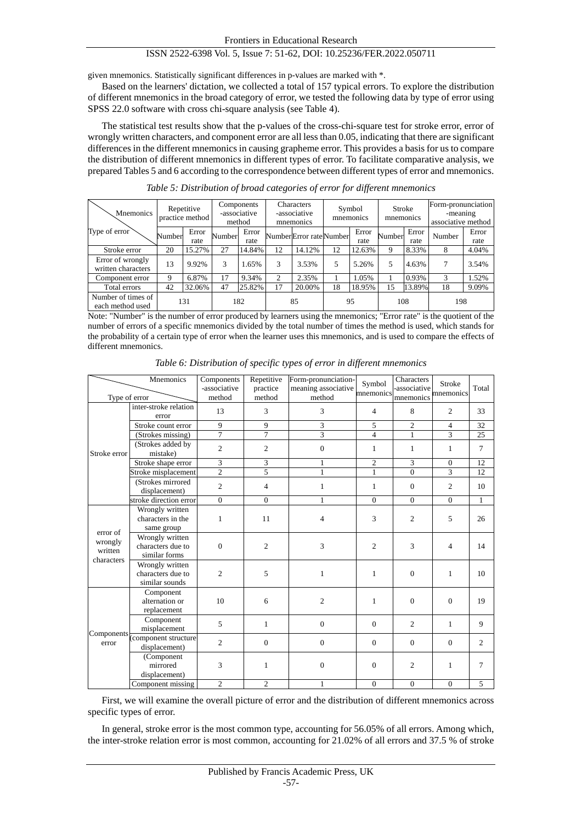given mnemonics. Statistically significant differences in p-values are marked with \*.

Based on the learners' dictation, we collected a total of 157 typical errors. To explore the distribution of different mnemonics in the broad category of error, we tested the following data by type of error using SPSS 22.0 software with cross chi-square analysis (see Table 4).

The statistical test results show that the p-values of the cross-chi-square test for stroke error, error of wrongly written characters, and component error are all less than 0.05, indicating that there are significant differences in the different mnemonics in causing grapheme error. This provides a basis for us to compare the distribution of different mnemonics in different types of error. To facilitate comparative analysis, we prepared Tables 5 and 6 according to the correspondence between different types of error and mnemonics.

| <b>M</b> nemonics                      | Repetitive<br>practice method |               | Components<br>-associative<br>method |               | Characters<br>-associative<br>mnemonics |                         | Symbol<br>mnemonics |               | <b>Stroke</b><br>mnemonics |               | Form-pronunciation<br>-meaning<br>associative method |               |
|----------------------------------------|-------------------------------|---------------|--------------------------------------|---------------|-----------------------------------------|-------------------------|---------------------|---------------|----------------------------|---------------|------------------------------------------------------|---------------|
| Type of error                          | Number                        | Error<br>rate | Number                               | Error<br>rate |                                         | NumberError rate Number |                     | Error<br>rate | Number                     | Error<br>rate | Number                                               | Error<br>rate |
| Stroke error                           | 20                            | 15.27%        | 27                                   | 14.84%        | 12                                      | 14.12%                  | 12                  | 12.63%        | 9                          | 8.33%         | 8                                                    | 4.04%         |
| Error of wrongly<br>written characters | 13                            | 9.92%         | 3                                    | 1.65%         | 3                                       | 3.53%                   | 5                   | 5.26%         | 5                          | 4.63%         |                                                      | 3.54%         |
| Component error                        | Q                             | 6.87%         | 17                                   | 9.34%         | ↑                                       | 2.35%                   |                     | 1.05%         |                            | 0.93%         | 3                                                    | 1.52%         |
| Total errors                           | 42                            | 32.06%        | 47                                   | 25.82%        | 17                                      | 20.00%                  | 18                  | 18.95%        | 15                         | 13.89%        | 18                                                   | 9.09%         |
| Number of times of<br>each method used |                               | 131           |                                      | 182           |                                         | 85                      |                     | 95            | 108                        |               | 198                                                  |               |

*Table 5: Distribution of broad categories of error for different mnemonics*

Note: "Number" is the number of error produced by learners using the mnemonics; "Error rate" is the quotient of the number of errors of a specific mnemonics divided by the total number of times the method is used, which stands for the probability of a certain type of error when the learner uses this mnemonics, and is used to compare the effects of different mnemonics.

|                                | Mnemonics                                              | Components<br>-associative | Repetitive<br>practice | Form-pronunciation-<br>meaning associative | Symbol<br>mnemonics | Characters<br>-associative | <b>Stroke</b><br>mnemonics | Total        |
|--------------------------------|--------------------------------------------------------|----------------------------|------------------------|--------------------------------------------|---------------------|----------------------------|----------------------------|--------------|
| Type of error                  |                                                        | method                     | method                 | method                                     |                     | mnemonics                  |                            |              |
|                                | inter-stroke relation<br>error                         | 13                         | 3                      | 3                                          | $\overline{4}$      | 8                          | $\overline{2}$             | 33           |
|                                | Stroke count error                                     | 9                          | 9                      | 3                                          | 5                   | $\overline{2}$             | $\overline{4}$             | 32           |
|                                | (Strokes missing)                                      | $\overline{7}$             | $\overline{7}$         | $\overline{3}$                             | $\overline{4}$      | $\mathbf{1}$               | $\overline{3}$             | 25           |
| Stroke error                   | (Strokes added by<br>mistake)                          | $\overline{c}$             | $\overline{c}$         | $\boldsymbol{0}$                           | $\mathbf{1}$        | $\mathbf{1}$               | $\mathbf{1}$               | $\tau$       |
|                                | Stroke shape error                                     | $\overline{3}$             | 3                      | 1                                          | $\overline{c}$      | 3                          | $\overline{0}$             | 12           |
|                                | Stroke misplacement                                    | $\overline{2}$             | 5                      | $\mathbf{1}$                               | $\mathbf{1}$        | $\mathbf{0}$               | $\overline{3}$             | 12           |
|                                | (Strokes mirrored<br>displacement)                     | $\overline{2}$             | $\overline{4}$         | 1                                          | $\mathbf{1}$        | $\Omega$                   | $\overline{2}$             | 10           |
|                                | stroke direction error                                 | $\boldsymbol{0}$           | $\mathbf{0}$           | 1                                          | $\mathbf{0}$        | $\overline{0}$             | $\overline{0}$             | $\mathbf{1}$ |
|                                | Wrongly written<br>characters in the<br>same group     | 1                          | 11                     | 4                                          | 3                   | $\overline{c}$             | 5                          | 26           |
| error of<br>wrongly<br>written | Wrongly written<br>characters due to<br>similar forms  | $\overline{0}$             | $\overline{c}$         | 3                                          | $\overline{c}$      | 3                          | $\overline{4}$             | 14           |
| characters                     | Wrongly written<br>characters due to<br>similar sounds | $\overline{2}$             | 5                      | 1                                          | $\mathbf{1}$        | $\overline{0}$             | $\mathbf{1}$               | 10           |
|                                | Component<br>alternation or<br>replacement             | 10                         | 6                      | $\overline{c}$                             | $\mathbf{1}$        | $\overline{0}$             | $\mathbf{0}$               | 19           |
|                                | Component<br>misplacement                              | 5                          | $\mathbf{1}$           | $\mathbf{0}$                               | $\mathbf{0}$        | 2                          | $\mathbf{1}$               | 9            |
| error                          | Components component structure<br>displacement)        | $\overline{c}$             | $\boldsymbol{0}$       | $\boldsymbol{0}$                           | $\mathbf{0}$        | $\mathbf{0}$               | $\mathbf{0}$               | 2            |
|                                | (Component<br>mirrored<br>displacement)                | 3                          | 1                      | $\boldsymbol{0}$                           | $\mathbf{0}$        | $\overline{c}$             | $\mathbf{1}$               | 7            |
|                                | Component missing                                      | $\overline{c}$             | $\overline{2}$         | 1                                          | $\Omega$            | $\mathbf{0}$               | $\Omega$                   | 5            |

*Table 6: Distribution of specific types of error in different mnemonics*

First, we will examine the overall picture of error and the distribution of different mnemonics across specific types of error.

In general, stroke error is the most common type, accounting for 56.05% of all errors. Among which, the inter-stroke relation error is most common, accounting for 21.02% of all errors and 37.5 % of stroke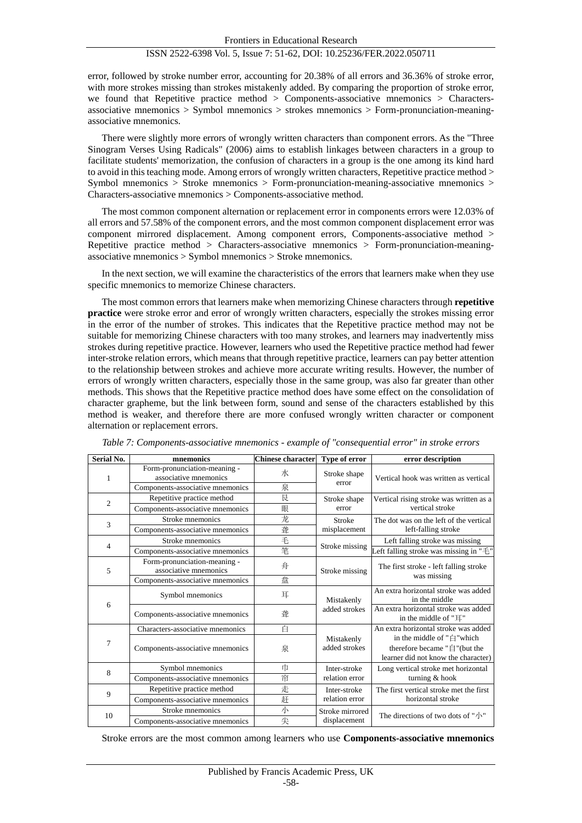error, followed by stroke number error, accounting for 20.38% of all errors and 36.36% of stroke error, with more strokes missing than strokes mistakenly added. By comparing the proportion of stroke error, we found that Repetitive practice method > Components-associative mnemonics > Charactersassociative mnemonics > Symbol mnemonics > strokes mnemonics > Form-pronunciation-meaningassociative mnemonics.

There were slightly more errors of wrongly written characters than component errors. As the "Three Sinogram Verses Using Radicals" (2006) aims to establish linkages between characters in a group to facilitate students' memorization, the confusion of characters in a group is the one among its kind hard to avoid in this teaching mode. Among errors of wrongly written characters, Repetitive practice method > Symbol mnemonics  $>$  Stroke mnemonics  $>$  Form-pronunciation-meaning-associative mnemonics  $>$ Characters-associative mnemonics > Components-associative method.

The most common component alternation or replacement error in components errors were 12.03% of all errors and 57.58% of the component errors, and the most common component displacement error was component mirrored displacement. Among component errors, Components-associative method > Repetitive practice method > Characters-associative mnemonics > Form-pronunciation-meaningassociative mnemonics > Symbol mnemonics > Stroke mnemonics.

In the next section, we will examine the characteristics of the errors that learners make when they use specific mnemonics to memorize Chinese characters.

The most common errors that learners make when memorizing Chinese characters through **repetitive practice** were stroke error and error of wrongly written characters, especially the strokes missing error in the error of the number of strokes. This indicates that the Repetitive practice method may not be suitable for memorizing Chinese characters with too many strokes, and learners may inadvertently miss strokes during repetitive practice. However, learners who used the Repetitive practice method had fewer inter-stroke relation errors, which means that through repetitive practice, learners can pay better attention to the relationship between strokes and achieve more accurate writing results. However, the number of errors of wrongly written characters, especially those in the same group, was also far greater than other methods. This shows that the Repetitive practice method does have some effect on the consolidation of character grapheme, but the link between form, sound and sense of the characters established by this method is weaker, and therefore there are more confused wrongly written character or component alternation or replacement errors.

| Serial No.     | mnemonics                                             | <b>Chinese character</b> | Type of error               | error description                                                                                |  |  |
|----------------|-------------------------------------------------------|--------------------------|-----------------------------|--------------------------------------------------------------------------------------------------|--|--|
| 1              | Form-pronunciation-meaning -<br>associative mnemonics | 水                        | Stroke shape                | Vertical hook was written as vertical                                                            |  |  |
|                | Components-associative mnemonics                      | 泉                        | error                       |                                                                                                  |  |  |
| $\overline{c}$ | Repetitive practice method                            | 艮                        | Stroke shape                | Vertical rising stroke was written as a                                                          |  |  |
|                | Components-associative mnemonics                      | 眼                        | error                       | vertical stroke                                                                                  |  |  |
| 3              | Stroke mnemonics                                      | 龙                        | Stroke                      | The dot was on the left of the vertical                                                          |  |  |
|                | Components-associative mnemonics                      | 聋                        | misplacement                | left-falling stroke                                                                              |  |  |
| 4              | Stroke mnemonics                                      | 毛                        | Stroke missing              | Left falling stroke was missing                                                                  |  |  |
|                | Components-associative mnemonics                      | 笔                        |                             | Left falling stroke was missing in "毛"                                                           |  |  |
| 5              | Form-pronunciation-meaning -<br>associative mnemonics | 舟                        | Stroke missing              | The first stroke - left falling stroke                                                           |  |  |
|                | Components-associative mnemonics                      | 盘                        |                             | was missing                                                                                      |  |  |
|                | Symbol mnemonics                                      | 耳                        | Mistakenly                  | An extra horizontal stroke was added<br>in the middle                                            |  |  |
| 6              | Components-associative mnemonics                      | 聋                        | added strokes               | An extra horizontal stroke was added<br>in the middle of "耳"                                     |  |  |
|                | Characters-associative mnemonics                      | 白                        |                             | An extra horizontal stroke was added                                                             |  |  |
| 7              | Components-associative mnemonics                      | 泉                        | Mistakenly<br>added strokes | in the middle of "白"which<br>therefore became "自"(but the<br>learner did not know the character) |  |  |
| 8              | Symbol mnemonics                                      | 巾                        | Inter-stroke                | Long vertical stroke met horizontal                                                              |  |  |
|                | Components-associative mnemonics                      | 帘                        | relation error              | turning & hook                                                                                   |  |  |
| 9              | Repetitive practice method                            | 走                        | Inter-stroke                | The first vertical stroke met the first                                                          |  |  |
|                | Components-associative mnemonics                      | 赶                        | relation error              | horizontal stroke                                                                                |  |  |
| 10             | Stroke mnemonics                                      | 小                        | Stroke mirrored             |                                                                                                  |  |  |
|                | Components-associative mnemonics                      | 尖                        | displacement                | The directions of two dots of "小"                                                                |  |  |

*Table 7: Components-associative mnemonics - example of "consequential error" in stroke errors*

Stroke errors are the most common among learners who use **Components-associative mnemonics**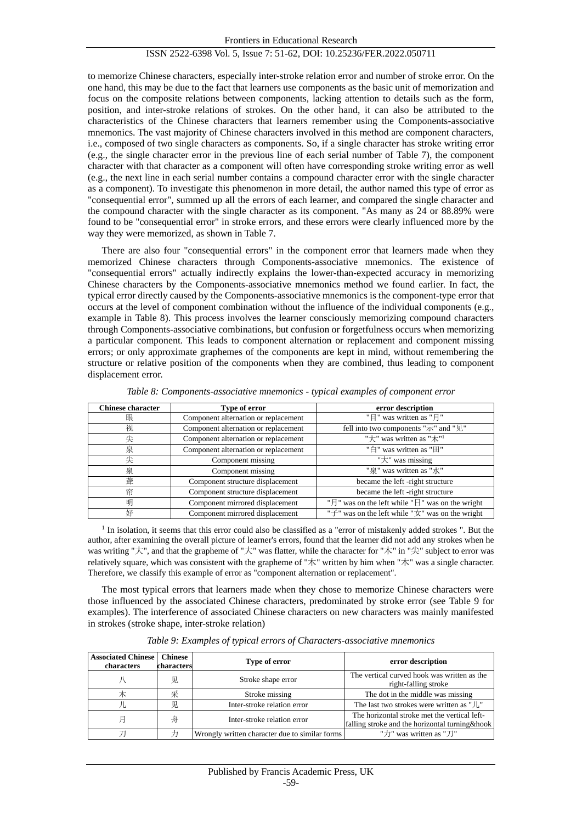to memorize Chinese characters, especially inter-stroke relation error and number of stroke error. On the one hand, this may be due to the fact that learners use components as the basic unit of memorization and focus on the composite relations between components, lacking attention to details such as the form, position, and inter-stroke relations of strokes. On the other hand, it can also be attributed to the characteristics of the Chinese characters that learners remember using the Components-associative mnemonics. The vast majority of Chinese characters involved in this method are component characters, i.e., composed of two single characters as components. So, if a single character has stroke writing error (e.g., the single character error in the previous line of each serial number of Table 7), the component character with that character as a component will often have corresponding stroke writing error as well (e.g., the next line in each serial number contains a compound character error with the single character as a component). To investigate this phenomenon in more detail, the author named this type of error as "consequential error", summed up all the errors of each learner, and compared the single character and the compound character with the single character as its component. "As many as 24 or 88.89% were found to be "consequential error" in stroke errors, and these errors were clearly influenced more by the way they were memorized, as shown in Table 7.

There are also four "consequential errors" in the component error that learners made when they memorized Chinese characters through Components-associative mnemonics. The existence of "consequential errors" actually indirectly explains the lower-than-expected accuracy in memorizing Chinese characters by the Components-associative mnemonics method we found earlier. In fact, the typical error directly caused by the Components-associative mnemonics is the component-type error that occurs at the level of component combination without the influence of the individual components (e.g., example in Table 8). This process involves the learner consciously memorizing compound characters through Components-associative combinations, but confusion or forgetfulness occurs when memorizing a particular component. This leads to component alternation or replacement and component missing errors; or only approximate graphemes of the components are kept in mind, without remembering the structure or relative position of the components when they are combined, thus leading to component displacement error.

| <b>Chinese character</b> | Type of error                        | error description                                                                         |
|--------------------------|--------------------------------------|-------------------------------------------------------------------------------------------|
| 眼                        | Component alternation or replacement | "目" was written as "月"                                                                    |
| 视                        | Component alternation or replacement | fell into two components "示" and "见"                                                      |
| 尖                        | Component alternation or replacement | "大" was written as "木" <sup>1</sup>                                                       |
| 泉                        | Component alternation or replacement | "白" was written as "田"                                                                    |
| 尖                        | Component missing                    | "大" was missing                                                                           |
| 泉                        | Component missing                    | "泉" was written as "水"                                                                    |
| 聋                        | Component structure displacement     | became the left -right structure                                                          |
| 帘                        | Component structure displacement     | became the left -right structure                                                          |
| 明                        | Component mirrored displacement      | " $\frac{1}{2}$ " was on the left while " $\frac{1}{2}$ " was on the wright               |
| 好                        | Component mirrored displacement      | " $\overrightarrow{f}$ " was on the left while " $\overrightarrow{x}$ " was on the wright |

*Table 8: Components-associative mnemonics - typical examples of component error*

<sup>1</sup> In isolation, it seems that this error could also be classified as a "error of mistakenly added strokes". But the author, after examining the overall picture of learner's errors, found that the learner did not add any strokes when he was writing "大", and that the grapheme of "大" was flatter, while the character for "木" in "尖" subject to error was relatively square, which was consistent with the grapheme of "木" written by him when "木" was a single character. Therefore, we classify this example of error as "component alternation or replacement".

The most typical errors that learners made when they chose to memorize Chinese characters were those influenced by the associated Chinese characters, predominated by stroke error (see Table 9 for examples). The interference of associated Chinese characters on new characters was mainly manifested in strokes (stroke shape, inter-stroke relation)

| <b>Associated Chinese   Chinese</b><br>characters | characters | Type of error                                  | error description                                                                                |  |  |
|---------------------------------------------------|------------|------------------------------------------------|--------------------------------------------------------------------------------------------------|--|--|
|                                                   | 见.         | Stroke shape error                             | The vertical curved hook was written as the<br>right-falling stroke                              |  |  |
| 木                                                 | 采          | Stroke missing                                 | The dot in the middle was missing                                                                |  |  |
|                                                   | 见          | Inter-stroke relation error                    | The last two strokes were written as " / ,"                                                      |  |  |
| 月                                                 | 舟          | Inter-stroke relation error                    | The horizontal stroke met the vertical left-<br>falling stroke and the horizontal turning & hook |  |  |
|                                                   |            | Wrongly written character due to similar forms | "力" was written as "刀"                                                                           |  |  |

*Table 9: Examples of typical errors of Characters-associative mnemonics*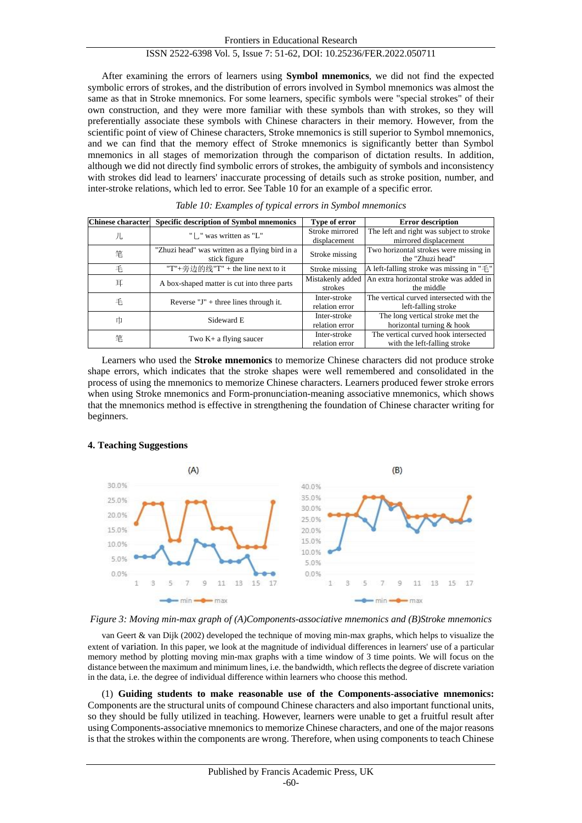After examining the errors of learners using **Symbol mnemonics**, we did not find the expected symbolic errors of strokes, and the distribution of errors involved in Symbol mnemonics was almost the same as that in Stroke mnemonics. For some learners, specific symbols were "special strokes" of their own construction, and they were more familiar with these symbols than with strokes, so they will preferentially associate these symbols with Chinese characters in their memory. However, from the scientific point of view of Chinese characters, Stroke mnemonics is still superior to Symbol mnemonics, and we can find that the memory effect of Stroke mnemonics is significantly better than Symbol mnemonics in all stages of memorization through the comparison of dictation results. In addition, although we did not directly find symbolic errors of strokes, the ambiguity of symbols and inconsistency with strokes did lead to learners' inaccurate processing of details such as stroke position, number, and inter-stroke relations, which led to error. See Table 10 for an example of a specific error.

| <b>Chinese character</b> | <b>Specific description of Symbol mnemonics</b>                | <b>Type of error</b>            | <b>Error description</b>                                             |
|--------------------------|----------------------------------------------------------------|---------------------------------|----------------------------------------------------------------------|
| 儿                        | "   . " was written as "L"                                     | Stroke mirrored<br>displacement | The left and right was subject to stroke<br>mirrored displacement    |
| 笔                        | "Zhuzi head" was written as a flying bird in a<br>stick figure | Stroke missing                  | Two horizontal strokes were missing in<br>the "Zhuzi head"           |
| 毛                        | "T"+旁边的线"T" + the line next to it                              | Stroke missing                  | A left-falling stroke was missing in " $\pm$ "                       |
| 耳                        | A box-shaped matter is cut into three parts                    | Mistakenly added<br>strokes     | An extra horizontal stroke was added in<br>the middle                |
| 毛                        | Reverse $J'' +$ three lines through it.                        | Inter-stroke<br>relation error  | The vertical curved intersected with the<br>left-falling stroke      |
| 巾                        | Sideward E                                                     | Inter-stroke<br>relation error  | The long vertical stroke met the<br>horizontal turning & hook        |
| 笔                        | Two $K+$ a flying saucer                                       | Inter-stroke<br>relation error  | The vertical curved hook intersected<br>with the left-falling stroke |

*Table 10: Examples of typical errors in Symbol mnemonics*

Learners who used the **Stroke mnemonics** to memorize Chinese characters did not produce stroke shape errors, which indicates that the stroke shapes were well remembered and consolidated in the process of using the mnemonics to memorize Chinese characters. Learners produced fewer stroke errors when using Stroke mnemonics and Form-pronunciation-meaning associative mnemonics, which shows that the mnemonics method is effective in strengthening the foundation of Chinese character writing for beginners.



# **4. Teaching Suggestions**

*Figure 3: Moving min-max graph of (A)Components-associative mnemonics and (B)Stroke mnemonics*

van Geert & van Dijk (2002) developed the technique of moving min-max graphs, which helps to visualize the extent of variation. In this paper, we look at the magnitude of individual differences in learners' use of a particular memory method by plotting moving min-max graphs with a time window of 3 time points. We will focus on the distance between the maximum and minimum lines, i.e. the bandwidth, which reflects the degree of discrete variation in the data, i.e. the degree of individual difference within learners who choose this method.

(1) **Guiding students to make reasonable use of the Components-associative mnemonics:** Components are the structural units of compound Chinese characters and also important functional units, so they should be fully utilized in teaching. However, learners were unable to get a fruitful result after using Components-associative mnemonics to memorize Chinese characters, and one of the major reasons is that the strokes within the components are wrong. Therefore, when using components to teach Chinese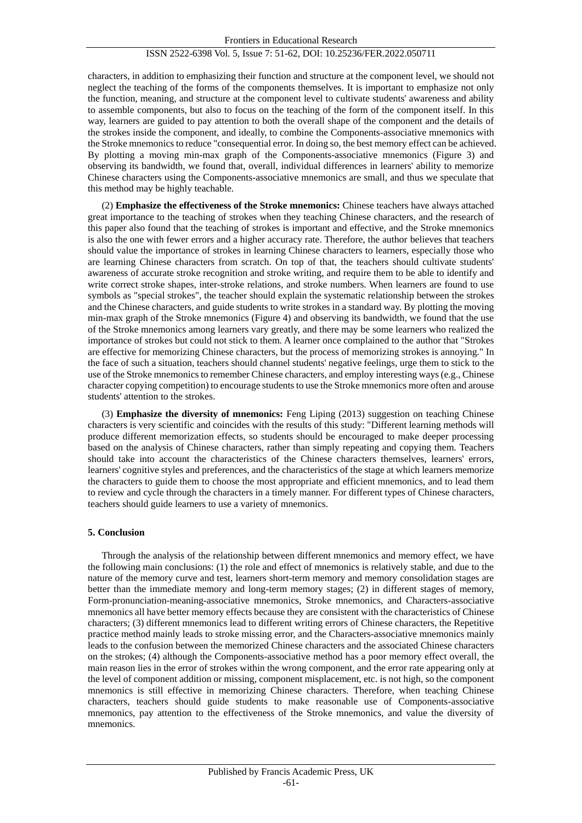characters, in addition to emphasizing their function and structure at the component level, we should not neglect the teaching of the forms of the components themselves. It is important to emphasize not only the function, meaning, and structure at the component level to cultivate students' awareness and ability to assemble components, but also to focus on the teaching of the form of the component itself. In this way, learners are guided to pay attention to both the overall shape of the component and the details of the strokes inside the component, and ideally, to combine the Components-associative mnemonics with the Stroke mnemonics to reduce "consequential error. In doing so, the best memory effect can be achieved. By plotting a moving min-max graph of the Components-associative mnemonics (Figure 3) and observing its bandwidth, we found that, overall, individual differences in learners' ability to memorize Chinese characters using the Components-associative mnemonics are small, and thus we speculate that this method may be highly teachable.

(2) **Emphasize the effectiveness of the Stroke mnemonics:** Chinese teachers have always attached great importance to the teaching of strokes when they teaching Chinese characters, and the research of this paper also found that the teaching of strokes is important and effective, and the Stroke mnemonics is also the one with fewer errors and a higher accuracy rate. Therefore, the author believes that teachers should value the importance of strokes in learning Chinese characters to learners, especially those who are learning Chinese characters from scratch. On top of that, the teachers should cultivate students' awareness of accurate stroke recognition and stroke writing, and require them to be able to identify and write correct stroke shapes, inter-stroke relations, and stroke numbers. When learners are found to use symbols as "special strokes", the teacher should explain the systematic relationship between the strokes and the Chinese characters, and guide students to write strokes in a standard way. By plotting the moving min-max graph of the Stroke mnemonics (Figure 4) and observing its bandwidth, we found that the use of the Stroke mnemonics among learners vary greatly, and there may be some learners who realized the importance of strokes but could not stick to them. A learner once complained to the author that "Strokes are effective for memorizing Chinese characters, but the process of memorizing strokes is annoying." In the face of such a situation, teachers should channel students' negative feelings, urge them to stick to the use of the Stroke mnemonics to remember Chinese characters, and employ interesting ways (e.g., Chinese character copying competition) to encourage students to use the Stroke mnemonics more often and arouse students' attention to the strokes.

(3) **Emphasize the diversity of mnemonics:** Feng Liping (2013) suggestion on teaching Chinese characters is very scientific and coincides with the results of this study: "Different learning methods will produce different memorization effects, so students should be encouraged to make deeper processing based on the analysis of Chinese characters, rather than simply repeating and copying them. Teachers should take into account the characteristics of the Chinese characters themselves, learners' errors, learners' cognitive styles and preferences, and the characteristics of the stage at which learners memorize the characters to guide them to choose the most appropriate and efficient mnemonics, and to lead them to review and cycle through the characters in a timely manner. For different types of Chinese characters, teachers should guide learners to use a variety of mnemonics.

# **5. Conclusion**

Through the analysis of the relationship between different mnemonics and memory effect, we have the following main conclusions: (1) the role and effect of mnemonics is relatively stable, and due to the nature of the memory curve and test, learners short-term memory and memory consolidation stages are better than the immediate memory and long-term memory stages; (2) in different stages of memory, Form-pronunciation-meaning-associative mnemonics, Stroke mnemonics, and Characters-associative mnemonics all have better memory effects because they are consistent with the characteristics of Chinese characters; (3) different mnemonics lead to different writing errors of Chinese characters, the Repetitive practice method mainly leads to stroke missing error, and the Characters-associative mnemonics mainly leads to the confusion between the memorized Chinese characters and the associated Chinese characters on the strokes; (4) although the Components-associative method has a poor memory effect overall, the main reason lies in the error of strokes within the wrong component, and the error rate appearing only at the level of component addition or missing, component misplacement, etc. is not high, so the component mnemonics is still effective in memorizing Chinese characters. Therefore, when teaching Chinese characters, teachers should guide students to make reasonable use of Components-associative mnemonics, pay attention to the effectiveness of the Stroke mnemonics, and value the diversity of mnemonics.